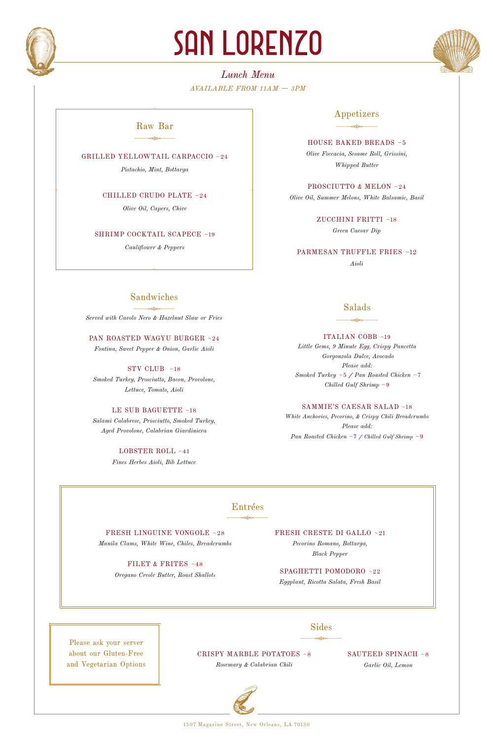

# SAN LORENZO



# *Lunch Menu AVAILABLE FROM 11AM — 3PM*

## $\frac{1}{\sqrt{2\pi}}$ Raw Bar

GRILLED YELLOWTAIL CARPACCIO ~24

*Pistachio, Mint, Bottarga*

CHILLED CRUDO PLATE ~24

*Olive Oil, Capers, Chive*

SHRIMP COCKTAIL SCAPECE ~19

*Cauliflower & Peppers*

# Appetizers  $\frac{1}{\sqrt{2\pi}}$

HOUSE BAKED BREADS ~5 *Olive Foccacia, Sesame Roll, Grissini, Whipped Butter*

PROSCIUTTO & MELON ~24 *Olive Oil, Summer Melons, White Balsamic, Basil*

> ZUCCHINI FRITTI ~18 *Green Caesar Dip*

PARMESAN TRUFFLE FRIES ~12 *Aioli*

# Sandwiches

*Served with Cavolo Nero & Hazelnut Slaw or Fries*  $\frac{1}{\sqrt{2\pi}}$ 

PAN ROASTED WAGYU BURGER ~24 *Fontina, Sweet Pepper & Onion, Garlic Aioli*

STV CLUB ~18 *Smoked Turkey, Prosciutto, Bacon, Provolone, Lettuce, Tomato, Aioli*

LE SUB BAGUETTE ~18 *Salami Calabrese, Prosciutto, Smoked Turkey, Aged Provolone, Calabrian Giardiniera* 

> LOBSTER ROLL ~41 *Fines Herbes Aioli, Bib Lettuce*

## $\frac{1}{\sqrt{2\pi}}$ Salads

ITALIAN COBB ~19

*Little Gems, 9 Minute Egg, Crispy Pancetta Gorgonzola Dulce, Avocado Please add: Smoked Turkey* ~5 */ Pan Roasted Chicken* ~7 *Chilled Gulf Shrimp* ~9

SAMMIE'S CAESAR SALAD ~18

*White Anchovies, Pecorino, & Crispy Chili Breadcrumbs Please add: Pan Roasted Chicken* ~7 */ Chilled Gulf Shrimp* ~9

## $\frac{1}{\sqrt{2\pi}}\frac{1}{\sqrt{2\pi}}\frac{1}{\sqrt{2\pi}}\frac{1}{\sqrt{2\pi}}\frac{1}{\sqrt{2\pi}}\frac{1}{\sqrt{2\pi}}\frac{1}{\sqrt{2\pi}}\frac{1}{\sqrt{2\pi}}\frac{1}{\sqrt{2\pi}}\frac{1}{\sqrt{2\pi}}\frac{1}{\sqrt{2\pi}}\frac{1}{\sqrt{2\pi}}\frac{1}{\sqrt{2\pi}}\frac{1}{\sqrt{2\pi}}\frac{1}{\sqrt{2\pi}}\frac{1}{\sqrt{2\pi}}\frac{1}{\sqrt{2\pi}}\frac{1}{\sqrt{2\pi}}\frac{1$ Entrées

FRESH LINGUINE VONGOLE ~28 *Manila Clams, White Wine, Chiles, Breadcrumbs*

> FILET & FRITES ~48 *Oregano Creole Butter, Roast Shallots*

FRESH CRESTE DI GALLO ~21 *Pecorino Romano, Bottarga, Black Pepper*

SPAGHETTI POMODORO ~22 *Eggplant, Ricotta Salata, Fresh Basil*

> $\overbrace{\phantom{aaaaa}}$ Sides

Please ask your server about our Gluten-Free and Vegetarian Options

CRISPY MARBLE POTATOES ~8 *Rosemary & Calabrian Chili* 

SAUTEED SPINACH ~8 *Garlic Oil, Lemon*



1507 Magazine Street, New Orleans, LA 70130